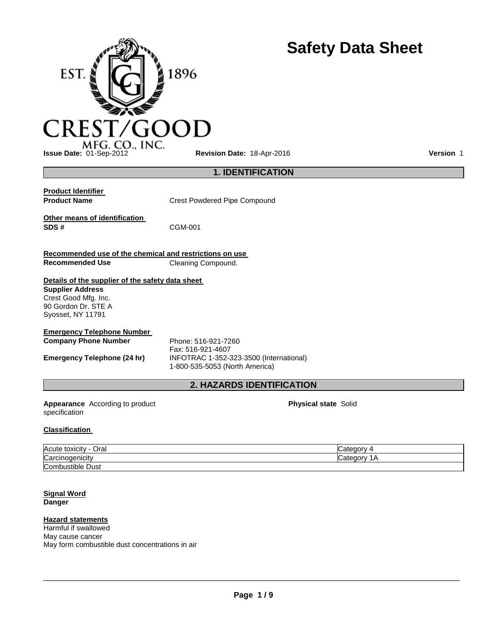

**Issue Date:** 01-Sep-2012 **Revision Date:** 18-Apr-2016 **Version** 1

## **1. IDENTIFICATION**

**Product Identifier<br>Product Name** 

**Crest Powdered Pipe Compound** 

**Other means of identification** 

**SDS #** CGM-001

**Recommended use of the chemical and restrictions on use Cleaning Compound.** 

# **Details of the supplier of the safety data sheet**

**Supplier Address** Crest Good Mfg. Inc. 90 Gordon Dr. STE A Syosset, NY 11791

## **Emergency Telephone Number**

**Company Phone Number** Phone: 516-921-7260 Fax: 516-921-4607 **Emergency Telephone (24 hr)** INFOTRAC 1-352-323-3500 (International) 1-800-535-5053 (North America)

## **2. HAZARDS IDENTIFICATION**

**Appearance** According to product specification

**Physical state** Solid

**Safety Data Sheet**

## **Classification**

| Acute toxicity<br>Oral<br>$\overline{\phantom{0}}$ | $+222$<br>- -<br>oalcu.       |
|----------------------------------------------------|-------------------------------|
| Carcinogenicity                                    | nnonon<br><b>Calcul</b><br>ım |
| <b>Combustible Dust</b>                            |                               |

#### **Signal Word Danger**

## **Hazard statements**

Harmful if swallowed May cause cancer May form combustible dust concentrations in air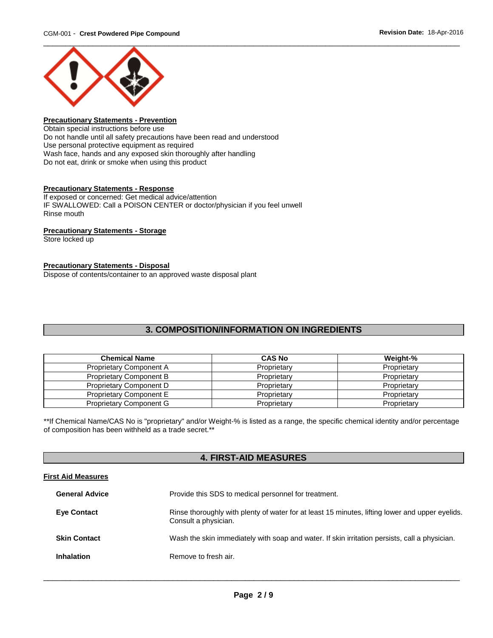

## **Precautionary Statements - Prevention**

Obtain special instructions before use Do not handle until all safety precautions have been read and understood Use personal protective equipment as required Wash face, hands and any exposed skin thoroughly after handling Do not eat, drink or smoke when using this product

#### **Precautionary Statements - Response**

If exposed or concerned: Get medical advice/attention IF SWALLOWED: Call a POISON CENTER or doctor/physician if you feel unwell Rinse mouth

## **Precautionary Statements - Storage**

Store locked up

#### **Precautionary Statements - Disposal**

Dispose of contents/container to an approved waste disposal plant

## **3. COMPOSITION/INFORMATION ON INGREDIENTS**

| <b>Chemical Name</b>           | <b>CAS No</b> | Weight-%    |
|--------------------------------|---------------|-------------|
| Proprietary Component A        | Proprietary   | Proprietary |
| <b>Proprietary Component B</b> | Proprietary   | Proprietary |
| Proprietary Component D        | Proprietary   | Proprietary |
| Proprietary Component E        | Proprietary   | Proprietary |
| <b>Proprietary Component G</b> | Proprietary   | Proprietary |

\*\*If Chemical Name/CAS No is "proprietary" and/or Weight-% is listed as a range, the specific chemical identity and/or percentage of composition has been withheld as a trade secret.\*\*

## **4. FIRST-AID MEASURES**

#### **First Aid Measures**

| <b>General Advice</b> | Provide this SDS to medical personnel for treatment.                                                                    |
|-----------------------|-------------------------------------------------------------------------------------------------------------------------|
| <b>Eye Contact</b>    | Rinse thoroughly with plenty of water for at least 15 minutes, lifting lower and upper eyelids.<br>Consult a physician. |
| <b>Skin Contact</b>   | Wash the skin immediately with soap and water. If skin irritation persists, call a physician.                           |
| <b>Inhalation</b>     | Remove to fresh air.                                                                                                    |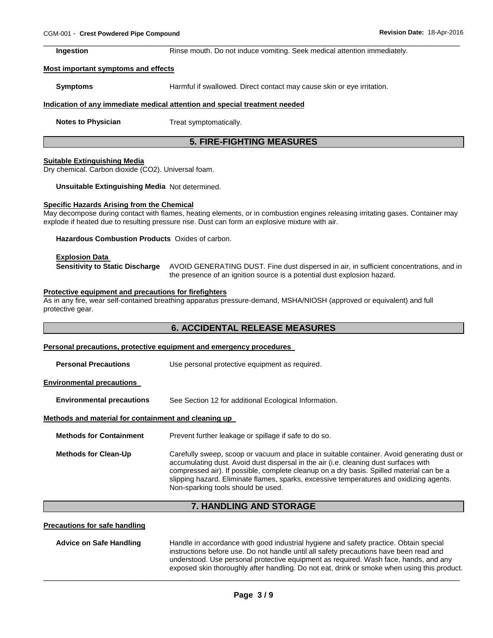\_\_\_\_\_\_\_\_\_\_\_\_\_\_\_\_\_\_\_\_\_\_\_\_\_\_\_\_\_\_\_\_\_\_\_\_\_\_\_\_\_\_\_\_\_\_\_\_\_\_\_\_\_\_\_\_\_\_\_\_\_\_\_\_\_\_\_\_\_\_\_\_\_\_\_\_\_\_\_\_\_\_\_\_\_\_\_\_\_\_\_\_\_ **Ingestion Rinse mouth. Do not induce vomiting. Seek medical attention immediately.** 

#### **Most important symptoms and effects**

**Symptoms Harmful if swallowed. Direct contact may cause skin or eye irritation.** 

#### **Indication of any immediate medical attention and special treatment needed**

**Notes to Physician Treat symptomatically.** 

## **5. FIRE-FIGHTING MEASURES**

#### **Suitable Extinguishing Media**

Dry chemical. Carbon dioxide (CO2). Universal foam.

**Unsuitable Extinguishing Media** Not determined.

#### **Specific Hazards Arising from the Chemical**

May decompose during contact with flames, heating elements, or in combustion engines releasing irritating gases. Container may explode if heated due to resulting pressure rise. Dust can form an explosive mixture with air.

**Hazardous Combustion Products** Oxides of carbon.

#### **Explosion Data**

**Sensitivity to Static Discharge** AVOID GENERATING DUST. Fine dust dispersed in air, in sufficient concentrations, and in the presence of an ignition source is a potential dust explosion hazard.

#### **Protective equipment and precautions for firefighters**

As in any fire, wear self-contained breathing apparatus pressure-demand, MSHA/NIOSH (approved or equivalent) and full protective gear.

## **6. ACCIDENTAL RELEASE MEASURES**

|                                                      | Personal precautions, protective equipment and emergency procedures                                                                                                                                                                                                                                                                                                                                             |  |  |
|------------------------------------------------------|-----------------------------------------------------------------------------------------------------------------------------------------------------------------------------------------------------------------------------------------------------------------------------------------------------------------------------------------------------------------------------------------------------------------|--|--|
| <b>Personal Precautions</b>                          | Use personal protective equipment as required.                                                                                                                                                                                                                                                                                                                                                                  |  |  |
| <b>Environmental precautions</b>                     |                                                                                                                                                                                                                                                                                                                                                                                                                 |  |  |
| <b>Environmental precautions</b>                     | See Section 12 for additional Ecological Information.                                                                                                                                                                                                                                                                                                                                                           |  |  |
| Methods and material for containment and cleaning up |                                                                                                                                                                                                                                                                                                                                                                                                                 |  |  |
| <b>Methods for Containment</b>                       | Prevent further leakage or spillage if safe to do so.                                                                                                                                                                                                                                                                                                                                                           |  |  |
| <b>Methods for Clean-Up</b>                          | Carefully sweep, scoop or vacuum and place in suitable container. Avoid generating dust or<br>accumulating dust. Avoid dust dispersal in the air (i.e. cleaning dust surfaces with<br>compressed air). If possible, complete cleanup on a dry basis. Spilled material can be a<br>slipping hazard. Eliminate flames, sparks, excessive temperatures and oxidizing agents.<br>Non-sparking tools should be used. |  |  |

## **7. HANDLING AND STORAGE**

#### **Precautions for safe handling**

**Advice on Safe Handling** Handle in accordance with good industrial hygiene and safety practice. Obtain special instructions before use. Do not handle until all safety precautions have been read and understood. Use personal protective equipment as required. Wash face, hands, and any exposed skin thoroughly after handling. Do not eat, drink or smoke when using this product.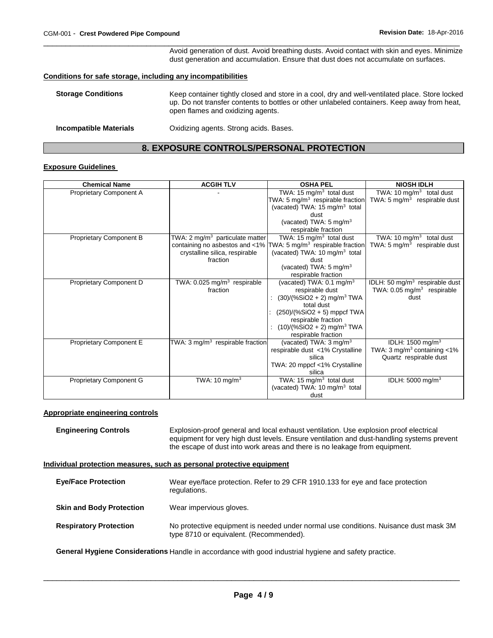\_\_\_\_\_\_\_\_\_\_\_\_\_\_\_\_\_\_\_\_\_\_\_\_\_\_\_\_\_\_\_\_\_\_\_\_\_\_\_\_\_\_\_\_\_\_\_\_\_\_\_\_\_\_\_\_\_\_\_\_\_\_\_\_\_\_\_\_\_\_\_\_\_\_\_\_\_\_\_\_\_\_\_\_\_\_\_\_\_\_\_\_\_ Avoid generation of dust. Avoid breathing dusts. Avoid contact with skin and eyes. Minimize dust generation and accumulation. Ensure that dust does not accumulate on surfaces.

#### **Conditions for safe storage, including any incompatibilities**

| <b>Storage Conditions</b>     | Keep container tightly closed and store in a cool, dry and well-ventilated place. Store locked<br>up. Do not transfer contents to bottles or other unlabeled containers. Keep away from heat,<br>open flames and oxidizing agents. |
|-------------------------------|------------------------------------------------------------------------------------------------------------------------------------------------------------------------------------------------------------------------------------|
| <b>Incompatible Materials</b> | Oxidizing agents. Strong acids. Bases.                                                                                                                                                                                             |

## **8. EXPOSURE CONTROLS/PERSONAL PROTECTION**

### **Exposure Guidelines**

| <b>Chemical Name</b>           | <b>ACGIH TLV</b>                             | <b>OSHA PEL</b>                                                             | <b>NIOSH IDLH</b>                          |
|--------------------------------|----------------------------------------------|-----------------------------------------------------------------------------|--------------------------------------------|
| Proprietary Component A        |                                              | TWA: $\overline{15}$ mg/m <sup>3</sup> total dust                           | TWA: 10 $mg/m3$ total dust                 |
|                                |                                              | TWA: 5 mg/m <sup>3</sup> respirable fraction                                | TWA: $5 \text{ mg/m}^3$ respirable dust    |
|                                |                                              | (vacated) TWA: $15 \text{ mg/m}^3$ total                                    |                                            |
|                                |                                              | dust                                                                        |                                            |
|                                |                                              | (vacated) TWA: $5 \text{ mg/m}^3$                                           |                                            |
|                                |                                              | respirable fraction                                                         |                                            |
| <b>Proprietary Component B</b> | TWA: 2 mg/m <sup>3</sup> particulate matter  | TWA: 15 mg/m <sup>3</sup> total dust                                        | TWA: 10 $mg/m3$ total dust                 |
|                                |                                              | containing no asbestos and <1% $\textsf{TWA: 5 mg/m}^3$ respirable fraction | TWA: 5 $mg/m3$ respirable dust             |
|                                | crystalline silica, respirable               | (vacated) TWA: 10 mg/m <sup>3</sup> total                                   |                                            |
|                                | fraction                                     | dust                                                                        |                                            |
|                                |                                              | (vacated) TWA: 5 mg/m <sup>3</sup>                                          |                                            |
|                                |                                              | respirable fraction                                                         |                                            |
| Proprietary Component D        | TWA: $0.025$ mg/m <sup>3</sup> respirable    | (vacated) TWA: $0.1 \text{ mg/m}^3$                                         | IDLH: 50 mg/m <sup>3</sup> respirable dust |
|                                | fraction                                     | respirable dust                                                             | TWA: $0.05$ mg/m <sup>3</sup> respirable   |
|                                |                                              | $(30)/(%SiO2 + 2)$ mg/m <sup>3</sup> TWA                                    | dust                                       |
|                                |                                              | total dust                                                                  |                                            |
|                                |                                              | $(250)/(%SiO2 + 5)$ mppcf TWA                                               |                                            |
|                                |                                              | respirable fraction                                                         |                                            |
|                                |                                              | $(10)/(%SiO2 + 2)$ mg/m <sup>3</sup> TWA                                    |                                            |
|                                |                                              | respirable fraction                                                         |                                            |
| Proprietary Component E        | TWA: 3 mg/m <sup>3</sup> respirable fraction | (vacated) TWA: 3 mg/m <sup>3</sup>                                          | IDLH: 1500 mg/m <sup>3</sup>               |
|                                |                                              | respirable dust <1% Crystalline                                             | TWA: 3 mg/m <sup>3</sup> containing <1%    |
|                                |                                              | silica                                                                      | Quartz respirable dust                     |
|                                |                                              | TWA: 20 mppcf <1% Crystalline<br>silica                                     |                                            |
|                                |                                              |                                                                             |                                            |
| Proprietary Component G        | TWA: 10 mg/m <sup>3</sup>                    | TWA: 15 mg/m $3$ total dust                                                 | IDLH: 5000 mg/m <sup>3</sup>               |
|                                |                                              | (vacated) TWA: 10 mg/m <sup>3</sup> total                                   |                                            |
|                                |                                              | dust                                                                        |                                            |

#### **Appropriate engineering controls**

**Engineering Controls** Explosion-proof general and local exhaust ventilation. Use explosion proof electrical equipment for very high dust levels. Ensure ventilation and dust-handling systems prevent the escape of dust into work areas and there is no leakage from equipment.

### **Individual protection measures, such as personal protective equipment**

| <b>Eye/Face Protection</b>      | Wear eye/face protection. Refer to 29 CFR 1910.133 for eye and face protection<br>regulations.                                  |
|---------------------------------|---------------------------------------------------------------------------------------------------------------------------------|
| <b>Skin and Body Protection</b> | Wear impervious gloves.                                                                                                         |
| <b>Respiratory Protection</b>   | No protective equipment is needed under normal use conditions. Nuisance dust mask 3M<br>type 8710 or equivalent. (Recommended). |

**General Hygiene Considerations** Handle in accordance with good industrial hygiene and safety practice.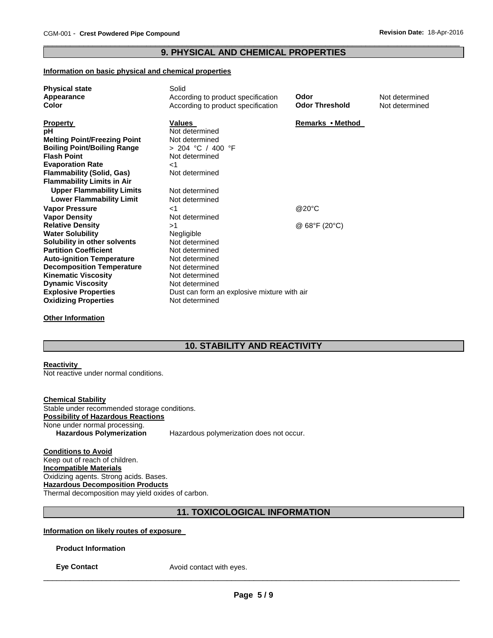### \_\_\_\_\_\_\_\_\_\_\_\_\_\_\_\_\_\_\_\_\_\_\_\_\_\_\_\_\_\_\_\_\_\_\_\_\_\_\_\_\_\_\_\_\_\_\_\_\_\_\_\_\_\_\_\_\_\_\_\_\_\_\_\_\_\_\_\_\_\_\_\_\_\_\_\_\_\_\_\_\_\_\_\_\_\_\_\_\_\_\_\_\_ **9. PHYSICAL AND CHEMICAL PROPERTIES**

#### **Information on basic physical and chemical properties**

| <b>Physical state</b>               | Solid                                       |                              |                |
|-------------------------------------|---------------------------------------------|------------------------------|----------------|
| Appearance                          | According to product specification          | Odor                         | Not determined |
| <b>Color</b>                        | According to product specification          | <b>Odor Threshold</b>        | Not determined |
|                                     |                                             |                              |                |
| <b>Property</b>                     | <b>Values</b>                               | Remarks • Method             |                |
| рH                                  | Not determined                              |                              |                |
| <b>Melting Point/Freezing Point</b> | Not determined                              |                              |                |
| <b>Boiling Point/Boiling Range</b>  | $> 204$ °C / 400 °F                         |                              |                |
| <b>Flash Point</b>                  | Not determined                              |                              |                |
| <b>Evaporation Rate</b>             | $<$ 1                                       |                              |                |
| <b>Flammability (Solid, Gas)</b>    | Not determined                              |                              |                |
| <b>Flammability Limits in Air</b>   |                                             |                              |                |
| <b>Upper Flammability Limits</b>    | Not determined                              |                              |                |
| <b>Lower Flammability Limit</b>     | Not determined                              |                              |                |
| <b>Vapor Pressure</b>               | ا>                                          | @20°C                        |                |
| <b>Vapor Density</b>                | Not determined                              |                              |                |
| <b>Relative Density</b>             | >1                                          | @ $68^{\circ}F(20^{\circ}C)$ |                |
| <b>Water Solubility</b>             | Negligible                                  |                              |                |
| Solubility in other solvents        | Not determined                              |                              |                |
| <b>Partition Coefficient</b>        | Not determined                              |                              |                |
| <b>Auto-ignition Temperature</b>    | Not determined                              |                              |                |
| <b>Decomposition Temperature</b>    | Not determined                              |                              |                |
| <b>Kinematic Viscosity</b>          | Not determined                              |                              |                |
| <b>Dynamic Viscosity</b>            | Not determined                              |                              |                |
| <b>Explosive Properties</b>         | Dust can form an explosive mixture with air |                              |                |
| <b>Oxidizing Properties</b>         | Not determined                              |                              |                |
|                                     |                                             |                              |                |

**Other Information**

## **10. STABILITY AND REACTIVITY**

#### **Reactivity**

Not reactive under normal conditions.

**Chemical Stability** Stable under recommended storage conditions. **Possibility of Hazardous Reactions** None under normal processing.<br>Hazardous Polymerization Hazardous polymerization does not occur.

**Conditions to Avoid** Keep out of reach of children. **Incompatible Materials** Oxidizing agents. Strong acids. Bases. **Hazardous Decomposition Products** Thermal decomposition may yield oxides of carbon.

## **11. TOXICOLOGICAL INFORMATION**

**Information on likely routes of exposure** 

**Product Information** 

**Eye Contact Avoid contact with eyes.**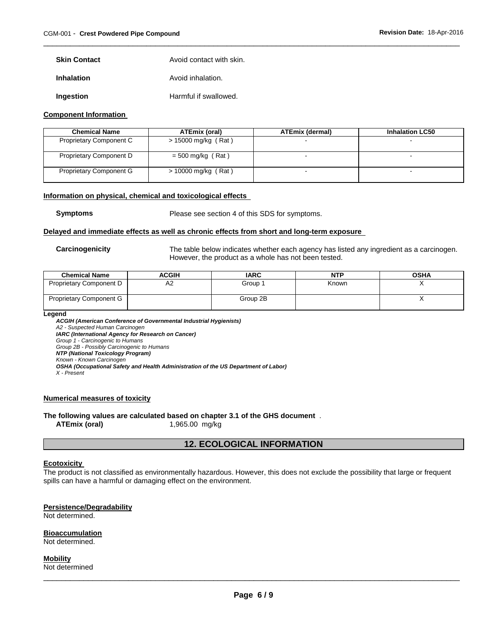| <b>Skin Contact</b> | Avoid contact with skin. |
|---------------------|--------------------------|
| <b>Inhalation</b>   | Avoid inhalation.        |

**Ingestion Harmful if swallowed.** 

#### **Component Information**

| <b>Chemical Name</b>           | ATEmix (oral)         | <b>ATEmix (dermal)</b> | <b>Inhalation LC50</b>   |
|--------------------------------|-----------------------|------------------------|--------------------------|
| <b>Proprietary Component C</b> | $> 15000$ mg/kg (Rat) |                        |                          |
| Proprietary Component D        | $=$ 500 mg/kg (Rat)   |                        | -                        |
| <b>Proprietary Component G</b> | $> 10000$ mg/kg (Rat) |                        | $\overline{\phantom{a}}$ |

\_\_\_\_\_\_\_\_\_\_\_\_\_\_\_\_\_\_\_\_\_\_\_\_\_\_\_\_\_\_\_\_\_\_\_\_\_\_\_\_\_\_\_\_\_\_\_\_\_\_\_\_\_\_\_\_\_\_\_\_\_\_\_\_\_\_\_\_\_\_\_\_\_\_\_\_\_\_\_\_\_\_\_\_\_\_\_\_\_\_\_\_\_

#### **Information on physical, chemical and toxicological effects**

**Symptoms** Please see section 4 of this SDS for symptoms.

#### **Delayed and immediate effects as well as chronic effects from short and long-term exposure**

**Carcinogenicity** The table below indicates whether each agency has listed any ingredient as a carcinogen. However, the product as a whole has not been tested.

| <b>Chemical Name</b>           | ACGIH | <b>IARC</b> | NTP   | <b>OSHA</b> |
|--------------------------------|-------|-------------|-------|-------------|
| <b>Proprietary Component D</b> | A2    | Group 1     | Known |             |
| <b>Proprietary Component G</b> |       | Group 2B    |       |             |

**Legend** 

*ACGIH (American Conference of Governmental Industrial Hygienists) A2 - Suspected Human Carcinogen IARC (International Agency for Research on Cancer) Group 1 - Carcinogenic to Humans Group 2B - Possibly Carcinogenic to Humans NTP (National Toxicology Program)*

*Known - Known Carcinogen* 

*OSHA (Occupational Safety and Health Administration of the US Department of Labor)*

*X - Present* 

## **Numerical measures of toxicity**

**The following values are calculated based on chapter 3.1 of the GHS document** .

**ATEmix (oral)** 1,965.00 mg/kg

## **12. ECOLOGICAL INFORMATION**

#### **Ecotoxicity**

The product is not classified as environmentally hazardous. However, this does not exclude the possibility that large or frequent spills can have a harmful or damaging effect on the environment.

## **Persistence/Degradability**

Not determined.

#### **Bioaccumulation** Not determined.

**Mobility** Not determined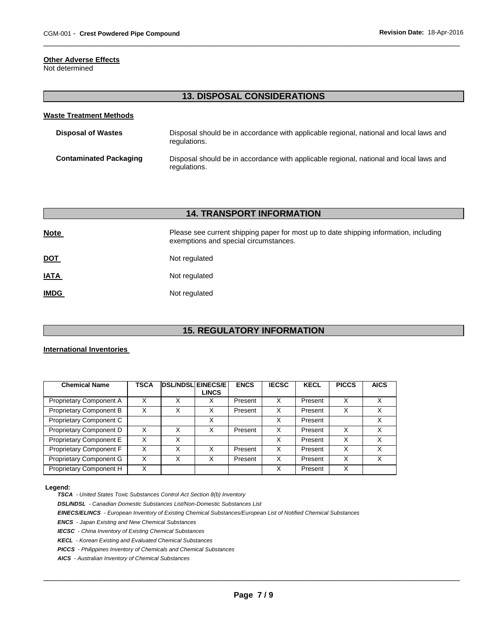### **Other Adverse Effects**

Not determined

# **13. DISPOSAL CONSIDERATIONS**

\_\_\_\_\_\_\_\_\_\_\_\_\_\_\_\_\_\_\_\_\_\_\_\_\_\_\_\_\_\_\_\_\_\_\_\_\_\_\_\_\_\_\_\_\_\_\_\_\_\_\_\_\_\_\_\_\_\_\_\_\_\_\_\_\_\_\_\_\_\_\_\_\_\_\_\_\_\_\_\_\_\_\_\_\_\_\_\_\_\_\_\_\_

| Waste Treatment Methods       |                                                                                                        |
|-------------------------------|--------------------------------------------------------------------------------------------------------|
| <b>Disposal of Wastes</b>     | Disposal should be in accordance with applicable regional, national and local laws and<br>regulations. |
| <b>Contaminated Packaging</b> | Disposal should be in accordance with applicable regional, national and local laws and<br>regulations. |

| <b>14. TRANSPORT INFORMATION</b> |                                                                                                                                |  |  |  |
|----------------------------------|--------------------------------------------------------------------------------------------------------------------------------|--|--|--|
| <b>Note</b>                      | Please see current shipping paper for most up to date shipping information, including<br>exemptions and special circumstances. |  |  |  |
| <u>DOT</u>                       | Not regulated                                                                                                                  |  |  |  |
| <b>IATA</b>                      | Not regulated                                                                                                                  |  |  |  |
| <b>IMDG</b>                      | Not regulated                                                                                                                  |  |  |  |

## **15. REGULATORY INFORMATION**

### **International Inventories**

| <b>Chemical Name</b>           | <b>TSCA</b> | <b>DSL/NDSL EINECS/E</b> | <b>LINCS</b> | <b>ENCS</b> | <b>IECSC</b> | <b>KECL</b> | <b>PICCS</b> | <b>AICS</b> |
|--------------------------------|-------------|--------------------------|--------------|-------------|--------------|-------------|--------------|-------------|
|                                |             |                          |              |             |              |             |              |             |
| Proprietary Component A        | x           |                          |              | Present     | Χ            | Present     | X            | x           |
| <b>Proprietary Component B</b> | Χ           | Χ                        | X            | Present     | X            | Present     | X            | x           |
| Proprietary Component C        |             |                          | X            |             | X            | Present     |              | X           |
| Proprietary Component D        | x           | x                        |              | Present     | х            | Present     | х            | X           |
| Proprietary Component E        | Χ           | Χ                        |              |             | X            | Present     | X            | X           |
| Proprietary Component F        | Χ           | Х                        | x            | Present     | X            | Present     | X            | Χ           |
| Proprietary Component G        | x           | x                        |              | Present     | Χ            | Present     | x            | x           |
| Proprietary Component H        | X           |                          |              |             | x            | Present     | X            |             |

#### **Legend:**

*TSCA - United States Toxic Substances Control Act Section 8(b) Inventory* 

*DSL/NDSL - Canadian Domestic Substances List/Non-Domestic Substances List* 

*EINECS/ELINCS - European Inventory of Existing Chemical Substances/European List of Notified Chemical Substances* 

*ENCS - Japan Existing and New Chemical Substances* 

*IECSC - China Inventory of Existing Chemical Substances* 

*KECL - Korean Existing and Evaluated Chemical Substances* 

*PICCS - Philippines Inventory of Chemicals and Chemical Substances* 

*AICS - Australian Inventory of Chemical Substances*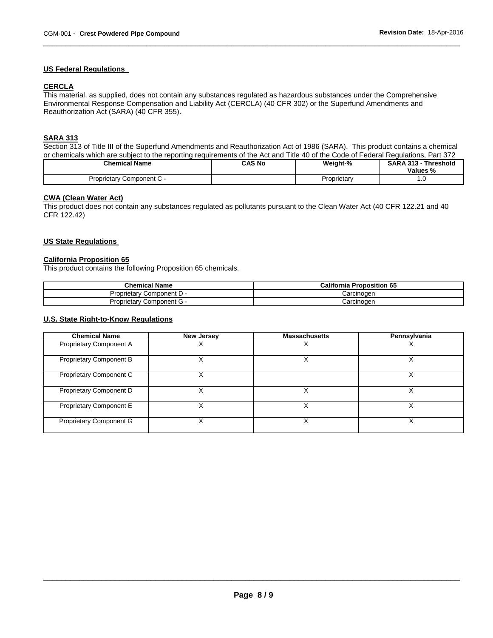### **US Federal Regulations**

### **CERCLA**

This material, as supplied, does not contain any substances regulated as hazardous substances under the Comprehensive Environmental Response Compensation and Liability Act (CERCLA) (40 CFR 302) or the Superfund Amendments and Reauthorization Act (SARA) (40 CFR 355).

### **SARA 313**

Section 313 of Title III of the Superfund Amendments and Reauthorization Act of 1986 (SARA). This product contains a chemical or chemicals which are subject to the reporting requirements of the Act and Title 40 of the Code of Federal Regulations, Part 372

\_\_\_\_\_\_\_\_\_\_\_\_\_\_\_\_\_\_\_\_\_\_\_\_\_\_\_\_\_\_\_\_\_\_\_\_\_\_\_\_\_\_\_\_\_\_\_\_\_\_\_\_\_\_\_\_\_\_\_\_\_\_\_\_\_\_\_\_\_\_\_\_\_\_\_\_\_\_\_\_\_\_\_\_\_\_\_\_\_\_\_\_\_

| <b>Chemical Name</b>      | CAS No | Weight-%    | <b>SARA 313 -</b><br><b>Threshold</b><br>Values % |
|---------------------------|--------|-------------|---------------------------------------------------|
| Proprietary Component C - |        | Proprietary | . ب                                               |

### **CWA (Clean Water Act)**

This product does not contain any substances regulated as pollutants pursuant to the Clean Water Act (40 CFR 122.21 and 40 CFR 122.42)

#### **US State Regulations**

## **California Proposition 65**

This product contains the following Proposition 65 chemicals.

| <b>Chemical Name</b>         | <b>California Proposition 65</b> |
|------------------------------|----------------------------------|
| Component D -<br>Proprietar  | Carcinoɑen                       |
| Component G -<br>Proprietarv | Carcinogen                       |

#### **U.S. State Right-to-Know Regulations**

| <b>Chemical Name</b>           | <b>New Jersey</b> | <b>Massachusetts</b> | Pennsylvania |
|--------------------------------|-------------------|----------------------|--------------|
| Proprietary Component A        |                   |                      |              |
| <b>Proprietary Component B</b> |                   |                      |              |
| Proprietary Component C        |                   |                      |              |
| Proprietary Component D        |                   |                      |              |
| Proprietary Component E        |                   |                      |              |
| <b>Proprietary Component G</b> |                   |                      |              |